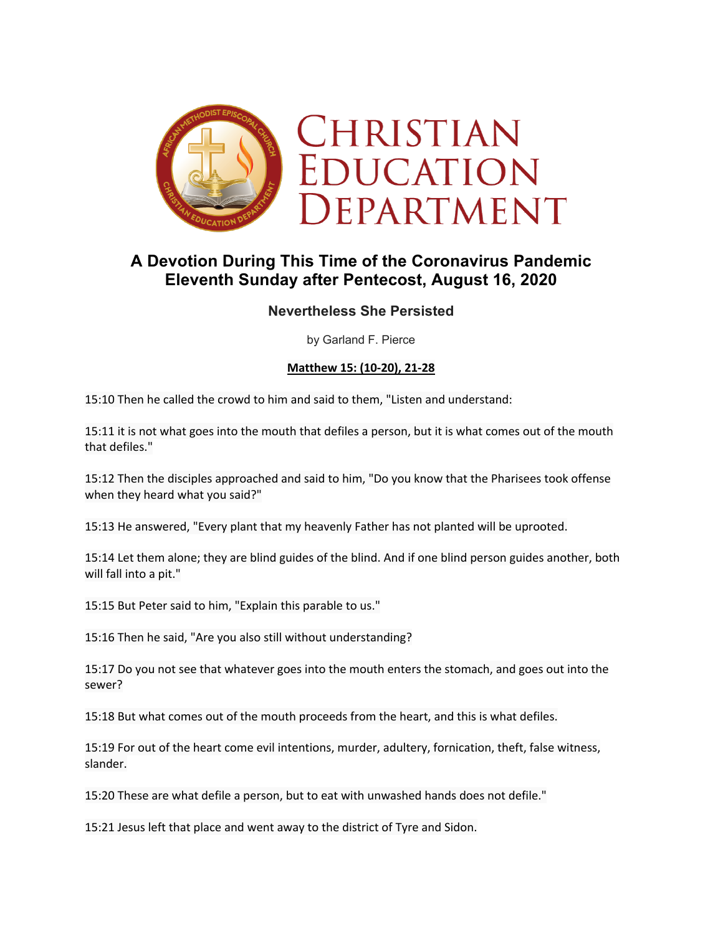

# **A Devotion During This Time of the Coronavirus Pandemic Eleventh Sunday after Pentecost, August 16, 2020**

# **Nevertheless She Persisted**

by Garland F. Pierce

#### **Matthew 15: (10-20), 21-28**

15:10 Then he called the crowd to him and said to them, "Listen and understand:

15:11 it is not what goes into the mouth that defiles a person, but it is what comes out of the mouth that defiles."

15:12 Then the disciples approached and said to him, "Do you know that the Pharisees took offense when they heard what you said?"

15:13 He answered, "Every plant that my heavenly Father has not planted will be uprooted.

15:14 Let them alone; they are blind guides of the blind. And if one blind person guides another, both will fall into a pit."

15:15 But Peter said to him, "Explain this parable to us."

15:16 Then he said, "Are you also still without understanding?

15:17 Do you not see that whatever goes into the mouth enters the stomach, and goes out into the sewer?

15:18 But what comes out of the mouth proceeds from the heart, and this is what defiles.

15:19 For out of the heart come evil intentions, murder, adultery, fornication, theft, false witness, slander.

15:20 These are what defile a person, but to eat with unwashed hands does not defile."

15:21 Jesus left that place and went away to the district of Tyre and Sidon.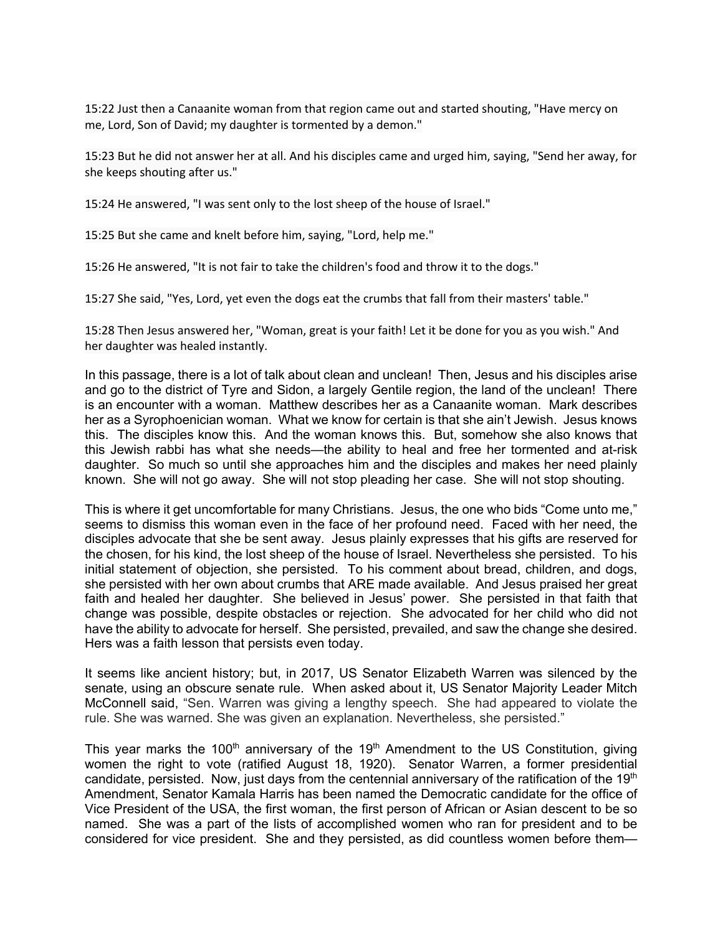15:22 Just then a Canaanite woman from that region came out and started shouting, "Have mercy on me, Lord, Son of David; my daughter is tormented by a demon."

15:23 But he did not answer her at all. And his disciples came and urged him, saying, "Send her away, for she keeps shouting after us."

15:24 He answered, "I was sent only to the lost sheep of the house of Israel."

15:25 But she came and knelt before him, saying, "Lord, help me."

15:26 He answered, "It is not fair to take the children's food and throw it to the dogs."

15:27 She said, "Yes, Lord, yet even the dogs eat the crumbs that fall from their masters' table."

15:28 Then Jesus answered her, "Woman, great is your faith! Let it be done for you as you wish." And her daughter was healed instantly.

In this passage, there is a lot of talk about clean and unclean! Then, Jesus and his disciples arise and go to the district of Tyre and Sidon, a largely Gentile region, the land of the unclean! There is an encounter with a woman. Matthew describes her as a Canaanite woman. Mark describes her as a Syrophoenician woman. What we know for certain is that she ain't Jewish. Jesus knows this. The disciples know this. And the woman knows this. But, somehow she also knows that this Jewish rabbi has what she needs—the ability to heal and free her tormented and at-risk daughter. So much so until she approaches him and the disciples and makes her need plainly known. She will not go away. She will not stop pleading her case. She will not stop shouting.

This is where it get uncomfortable for many Christians. Jesus, the one who bids "Come unto me," seems to dismiss this woman even in the face of her profound need. Faced with her need, the disciples advocate that she be sent away. Jesus plainly expresses that his gifts are reserved for the chosen, for his kind, the lost sheep of the house of Israel. Nevertheless she persisted. To his initial statement of objection, she persisted. To his comment about bread, children, and dogs, she persisted with her own about crumbs that ARE made available. And Jesus praised her great faith and healed her daughter. She believed in Jesus' power. She persisted in that faith that change was possible, despite obstacles or rejection. She advocated for her child who did not have the ability to advocate for herself. She persisted, prevailed, and saw the change she desired. Hers was a faith lesson that persists even today.

It seems like ancient history; but, in 2017, US Senator Elizabeth Warren was silenced by the senate, using an obscure senate rule. When asked about it, US Senator Majority Leader Mitch McConnell said, "Sen. Warren was giving a lengthy speech. She had appeared to violate the rule. She was warned. She was given an explanation. Nevertheless, she persisted."

This year marks the 100<sup>th</sup> anniversary of the 19<sup>th</sup> Amendment to the US Constitution, giving women the right to vote (ratified August 18, 1920). Senator Warren, a former presidential candidate, persisted. Now, just days from the centennial anniversary of the ratification of the 19<sup>th</sup> Amendment, Senator Kamala Harris has been named the Democratic candidate for the office of Vice President of the USA, the first woman, the first person of African or Asian descent to be so named. She was a part of the lists of accomplished women who ran for president and to be considered for vice president. She and they persisted, as did countless women before them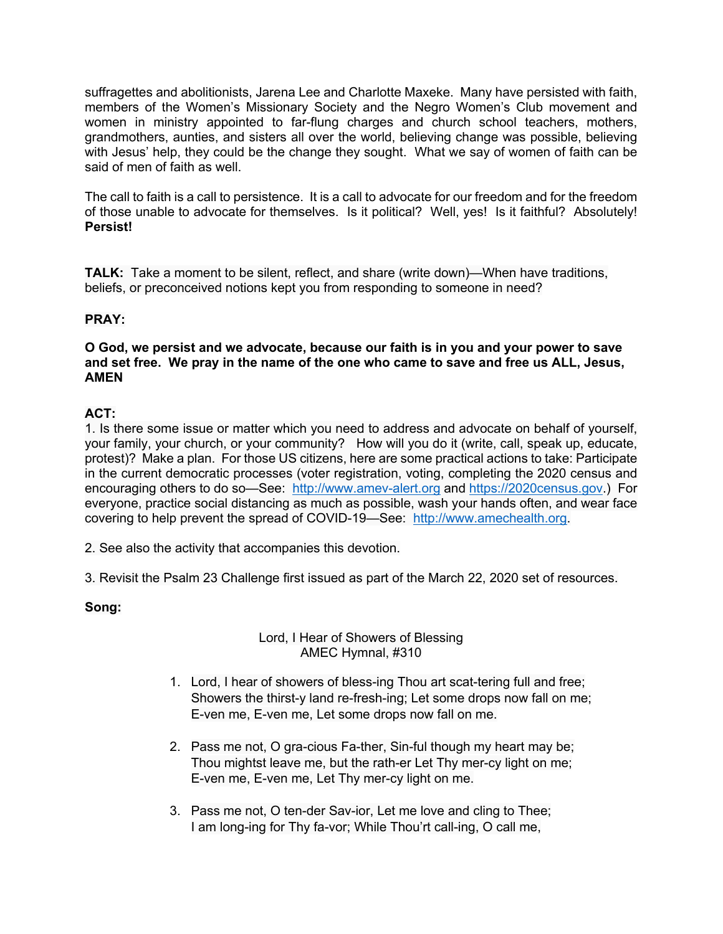suffragettes and abolitionists, Jarena Lee and Charlotte Maxeke. Many have persisted with faith, members of the Women's Missionary Society and the Negro Women's Club movement and women in ministry appointed to far-flung charges and church school teachers, mothers, grandmothers, aunties, and sisters all over the world, believing change was possible, believing with Jesus' help, they could be the change they sought. What we say of women of faith can be said of men of faith as well.

The call to faith is a call to persistence. It is a call to advocate for our freedom and for the freedom of those unable to advocate for themselves. Is it political? Well, yes! Is it faithful? Absolutely! **Persist!**

**TALK:** Take a moment to be silent, reflect, and share (write down)—When have traditions, beliefs, or preconceived notions kept you from responding to someone in need?

# **PRAY:**

#### **O God, we persist and we advocate, because our faith is in you and your power to save and set free. We pray in the name of the one who came to save and free us ALL, Jesus, AMEN**

# **ACT:**

1. Is there some issue or matter which you need to address and advocate on behalf of yourself, your family, your church, or your community? How will you do it (write, call, speak up, educate, protest)? Make a plan. For those US citizens, here are some practical actions to take: Participate in the current democratic processes (voter registration, voting, completing the 2020 census and encouraging others to do so—See: http://www.amev-alert.org and https://2020census.gov.) For everyone, practice social distancing as much as possible, wash your hands often, and wear face covering to help prevent the spread of COVID-19—See: http://www.amechealth.org.

2. See also the activity that accompanies this devotion.

3. Revisit the Psalm 23 Challenge first issued as part of the March 22, 2020 set of resources.

## **Song:**

## Lord, I Hear of Showers of Blessing AMEC Hymnal, #310

- 1. Lord, I hear of showers of bless-ing Thou art scat-tering full and free; Showers the thirst-y land re-fresh-ing; Let some drops now fall on me; E-ven me, E-ven me, Let some drops now fall on me.
- 2. Pass me not, O gra-cious Fa-ther, Sin-ful though my heart may be; Thou mightst leave me, but the rath-er Let Thy mer-cy light on me; E-ven me, E-ven me, Let Thy mer-cy light on me.
- 3. Pass me not, O ten-der Sav-ior, Let me love and cling to Thee; I am long-ing for Thy fa-vor; While Thou'rt call-ing, O call me,